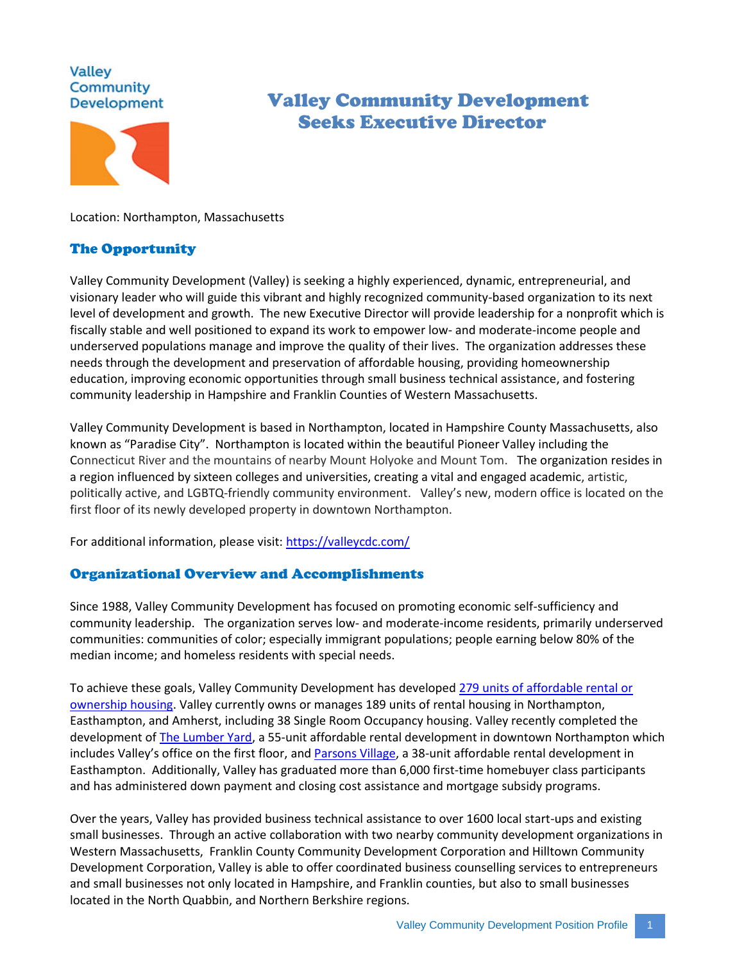# **Valley** Community **Development**



# Valley Community Development Seeks Executive Director

Location: Northampton, Massachusetts

# The Opportunity

Valley Community Development (Valley) is seeking a highly experienced, dynamic, entrepreneurial, and visionary leader who will guide this vibrant and highly recognized community-based organization to its next level of development and growth. The new Executive Director will provide leadership for a nonprofit which is fiscally stable and well positioned to expand its work to empower low- and moderate-income people and underserved populations manage and improve the quality of their lives. The organization addresses these needs through the development and preservation of affordable housing, providing homeownership education, improving economic opportunities through small business technical assistance, and fostering community leadership in Hampshire and Franklin Counties of Western Massachusetts.

Valley Community Development is based in Northampton, located in Hampshire County Massachusetts, also known as "Paradise City". Northampton is located within the beautiful Pioneer Valley including the Connecticut River and the mountains of nearby Mount Holyoke and Mount Tom. The organization resides in a region influenced by sixteen colleges and universities, creating a vital and engaged academic, artistic, politically active, and LGBTQ-friendly community environment. Valley's new, modern office is located on the first floor of its newly developed property in downtown Northampton.

For additional information, please visit:<https://valleycdc.com/>

# Organizational Overview and Accomplishments

Since 1988, Valley Community Development has focused on promoting economic self-sufficiency and community leadership. The organization serves low- and moderate-income residents, primarily underserved communities: communities of color; especially immigrant populations; people earning below 80% of the median income; and homeless residents with special needs.

To achieve these goals, Valley Community Development has develope[d 279 units of affordable rental or](https://valleycdc.com/affordable-housing-development/)  [ownership housing.](https://valleycdc.com/affordable-housing-development/) Valley currently owns or manages 189 units of rental housing in Northampton, Easthampton, and Amherst, including 38 Single Room Occupancy housing. Valley recently completed the development of [The Lumber Yard,](https://www.wayfindersma.org/real-estate/property/family-housing-downtown-northampton) a 55-unit affordable rental development in downtown Northampton which includes Valley's office on the first floor, an[d Parsons Village,](https://www.wayfindersma.org/real-estate/property/parsons-village) a 38-unit affordable rental development in Easthampton. Additionally, Valley has graduated more than 6,000 first-time homebuyer class participants and has administered down payment and closing cost assistance and mortgage subsidy programs.

Over the years, Valley has provided business technical assistance to over 1600 local start-ups and existing small businesses. Through an active collaboration with two nearby community development organizations in Western Massachusetts, Franklin County Community Development Corporation and Hilltown Community Development Corporation, Valley is able to offer coordinated business counselling services to entrepreneurs and small businesses not only located in Hampshire, and Franklin counties, but also to small businesses located in the North Quabbin, and Northern Berkshire regions.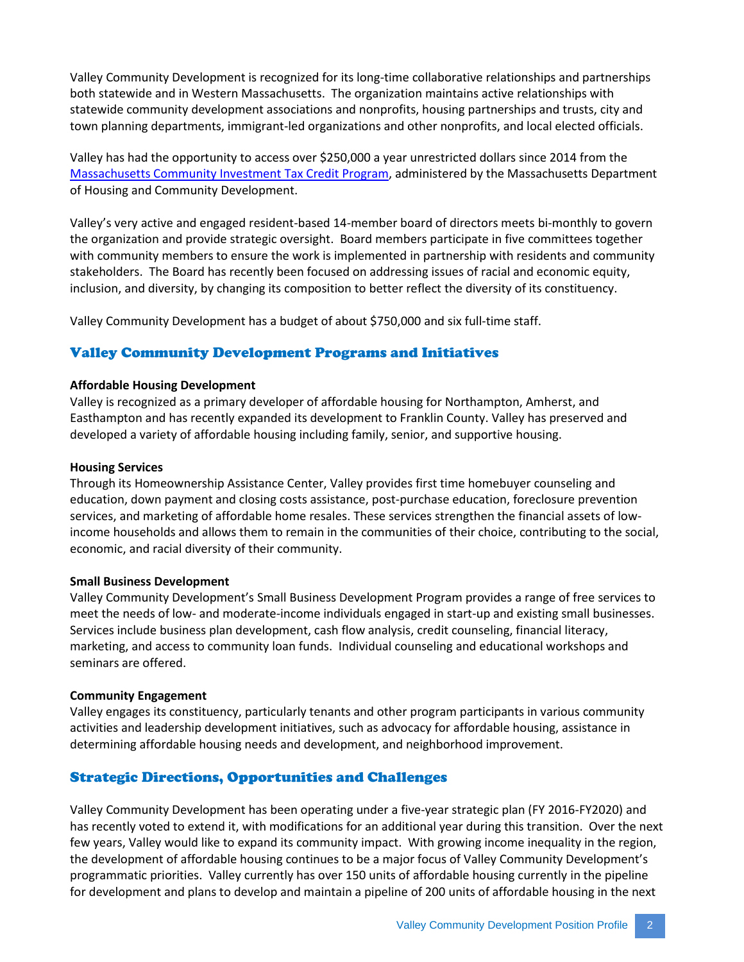Valley Community Development is recognized for its long-time collaborative relationships and partnerships both statewide and in Western Massachusetts. The organization maintains active relationships with statewide community development associations and nonprofits, housing partnerships and trusts, city and town planning departments, immigrant-led organizations and other nonprofits, and local elected officials.

Valley has had the opportunity to access over \$250,000 a year unrestricted dollars since 2014 from the [Massachusetts Community Investment Tax Credit Program,](https://www.mass.gov/service-details/community-investment-tax-credit-program-citc) administered by the Massachusetts Department of Housing and Community Development.

Valley's very active and engaged resident-based 14-member board of directors meets bi-monthly to govern the organization and provide strategic oversight. Board members participate in five committees together with community members to ensure the work is implemented in partnership with residents and community stakeholders. The Board has recently been focused on addressing issues of racial and economic equity, inclusion, and diversity, by changing its composition to better reflect the diversity of its constituency.

Valley Community Development has a budget of about \$750,000 and six full-time staff.

# Valley Community Development Programs and Initiatives

#### **Affordable Housing Development**

Valley is recognized as a primary developer of affordable housing for Northampton, Amherst, and Easthampton and has recently expanded its development to Franklin County. Valley has preserved and developed a variety of affordable housing including family, senior, and supportive housing.

#### **Housing Services**

Through its Homeownership Assistance Center, Valley provides first time homebuyer counseling and education, down payment and closing costs assistance, post-purchase education, foreclosure prevention services, and marketing of affordable home resales. These services strengthen the financial assets of lowincome households and allows them to remain in the communities of their choice, contributing to the social, economic, and racial diversity of their community.

#### **Small Business Development**

Valley Community Development's Small Business Development Program provides a range of free services to meet the needs of low- and moderate-income individuals engaged in start-up and existing small businesses. Services include business plan development, cash flow analysis, credit counseling, financial literacy, marketing, and access to community loan funds. Individual counseling and educational workshops and seminars are offered.

#### **Community Engagement**

Valley engages its constituency, particularly tenants and other program participants in various community activities and leadership development initiatives, such as advocacy for affordable housing, assistance in determining affordable housing needs and development, and neighborhood improvement.

# Strategic Directions, Opportunities and Challenges

Valley Community Development has been operating under a five-year strategic plan (FY 2016-FY2020) and has recently voted to extend it, with modifications for an additional year during this transition. Over the next few years, Valley would like to expand its community impact. With growing income inequality in the region, the development of affordable housing continues to be a major focus of Valley Community Development's programmatic priorities. Valley currently has over 150 units of affordable housing currently in the pipeline for development and plans to develop and maintain a pipeline of 200 units of affordable housing in the next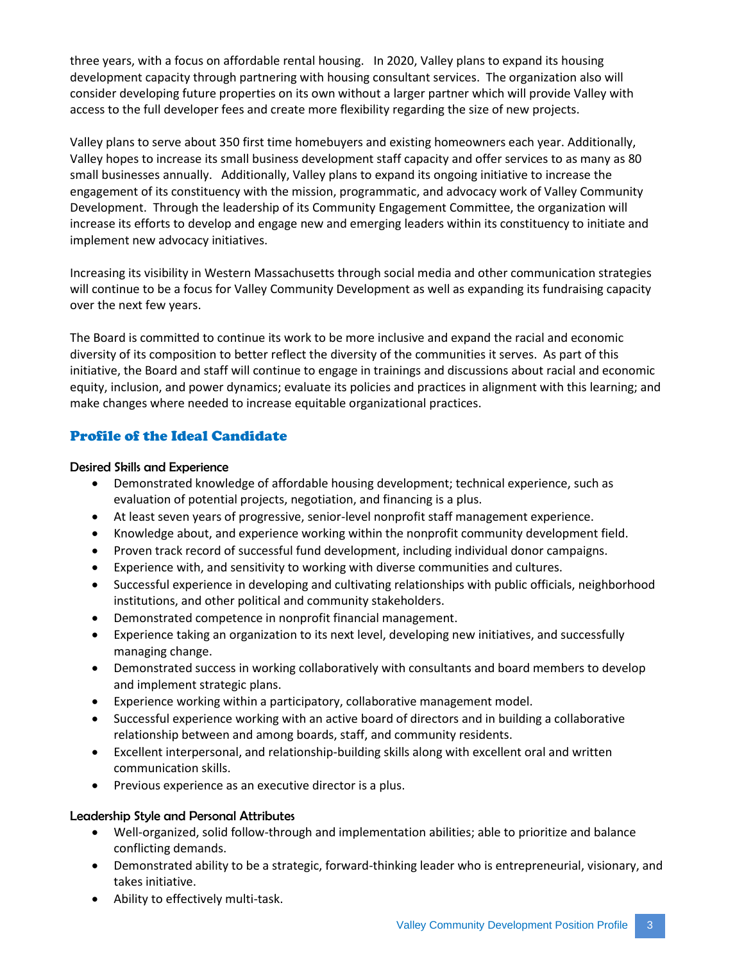three years, with a focus on affordable rental housing. In 2020, Valley plans to expand its housing development capacity through partnering with housing consultant services. The organization also will consider developing future properties on its own without a larger partner which will provide Valley with access to the full developer fees and create more flexibility regarding the size of new projects.

Valley plans to serve about 350 first time homebuyers and existing homeowners each year. Additionally, Valley hopes to increase its small business development staff capacity and offer services to as many as 80 small businesses annually. Additionally, Valley plans to expand its ongoing initiative to increase the engagement of its constituency with the mission, programmatic, and advocacy work of Valley Community Development. Through the leadership of its Community Engagement Committee, the organization will increase its efforts to develop and engage new and emerging leaders within its constituency to initiate and implement new advocacy initiatives.

Increasing its visibility in Western Massachusetts through social media and other communication strategies will continue to be a focus for Valley Community Development as well as expanding its fundraising capacity over the next few years.

The Board is committed to continue its work to be more inclusive and expand the racial and economic diversity of its composition to better reflect the diversity of the communities it serves. As part of this initiative, the Board and staff will continue to engage in trainings and discussions about racial and economic equity, inclusion, and power dynamics; evaluate its policies and practices in alignment with this learning; and make changes where needed to increase equitable organizational practices.

# Profile of the Ideal Candidate

# Desired Skills and Experience

- Demonstrated knowledge of affordable housing development; technical experience, such as evaluation of potential projects, negotiation, and financing is a plus.
- At least seven years of progressive, senior-level nonprofit staff management experience.
- Knowledge about, and experience working within the nonprofit community development field.
- Proven track record of successful fund development, including individual donor campaigns.
- Experience with, and sensitivity to working with diverse communities and cultures.
- Successful experience in developing and cultivating relationships with public officials, neighborhood institutions, and other political and community stakeholders.
- Demonstrated competence in nonprofit financial management.
- Experience taking an organization to its next level, developing new initiatives, and successfully managing change.
- Demonstrated success in working collaboratively with consultants and board members to develop and implement strategic plans.
- Experience working within a participatory, collaborative management model.
- Successful experience working with an active board of directors and in building a collaborative relationship between and among boards, staff, and community residents.
- Excellent interpersonal, and relationship-building skills along with excellent oral and written communication skills.
- Previous experience as an executive director is a plus.

# Leadership Style and Personal Attributes

- Well-organized, solid follow-through and implementation abilities; able to prioritize and balance conflicting demands.
- Demonstrated ability to be a strategic, forward-thinking leader who is entrepreneurial, visionary, and takes initiative.
- Ability to effectively multi-task.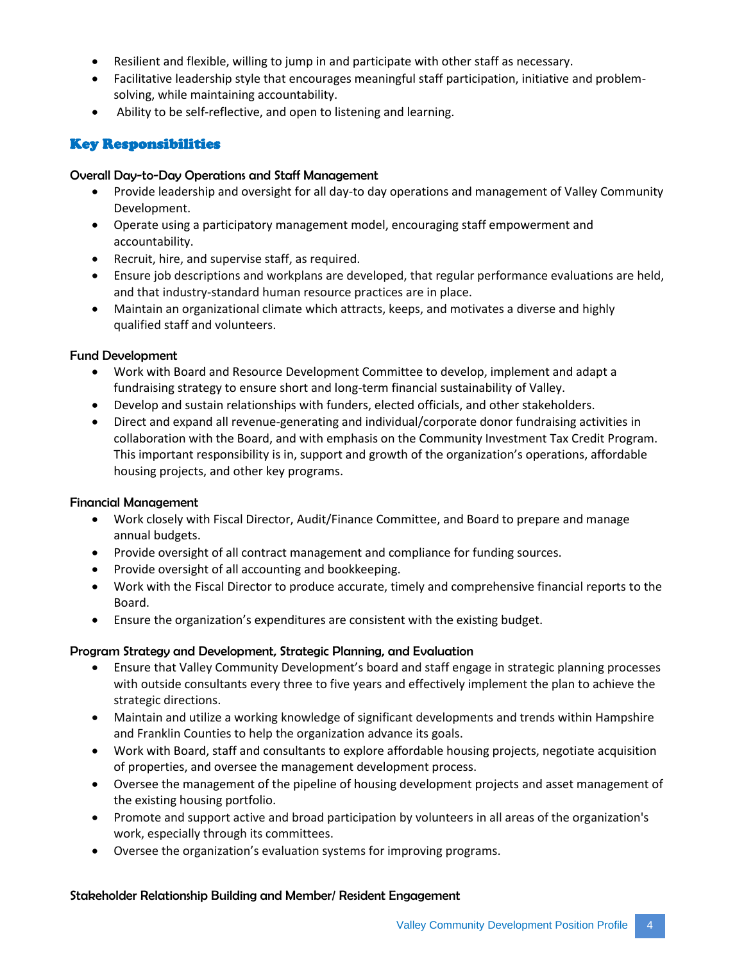- Resilient and flexible, willing to jump in and participate with other staff as necessary.
- Facilitative leadership style that encourages meaningful staff participation, initiative and problemsolving, while maintaining accountability.
- Ability to be self-reflective, and open to listening and learning.

# Key Responsibilities

#### Overall Day-to-Day Operations and Staff Management

- Provide leadership and oversight for all day-to day operations and management of Valley Community Development.
- Operate using a participatory management model, encouraging staff empowerment and accountability.
- Recruit, hire, and supervise staff, as required.
- Ensure job descriptions and workplans are developed, that regular performance evaluations are held, and that industry-standard human resource practices are in place.
- Maintain an organizational climate which attracts, keeps, and motivates a diverse and highly qualified staff and volunteers.

## Fund Development

- Work with Board and Resource Development Committee to develop, implement and adapt a fundraising strategy to ensure short and long-term financial sustainability of Valley.
- Develop and sustain relationships with funders, elected officials, and other stakeholders.
- Direct and expand all revenue-generating and individual/corporate donor fundraising activities in collaboration with the Board, and with emphasis on the Community Investment Tax Credit Program. This important responsibility is in, support and growth of the organization's operations, affordable housing projects, and other key programs.

## Financial Management

- Work closely with Fiscal Director, Audit/Finance Committee, and Board to prepare and manage annual budgets.
- Provide oversight of all contract management and compliance for funding sources.
- Provide oversight of all accounting and bookkeeping.
- Work with the Fiscal Director to produce accurate, timely and comprehensive financial reports to the Board.
- Ensure the organization's expenditures are consistent with the existing budget.

## Program Strategy and Development, Strategic Planning, and Evaluation

- Ensure that Valley Community Development's board and staff engage in strategic planning processes with outside consultants every three to five years and effectively implement the plan to achieve the strategic directions.
- Maintain and utilize a working knowledge of significant developments and trends within Hampshire and Franklin Counties to help the organization advance its goals.
- Work with Board, staff and consultants to explore affordable housing projects, negotiate acquisition of properties, and oversee the management development process.
- Oversee the management of the pipeline of housing development projects and asset management of the existing housing portfolio.
- Promote and support active and broad participation by volunteers in all areas of the organization's work, especially through its committees.
- Oversee the organization's evaluation systems for improving programs.

## Stakeholder Relationship Building and Member/ Resident Engagement